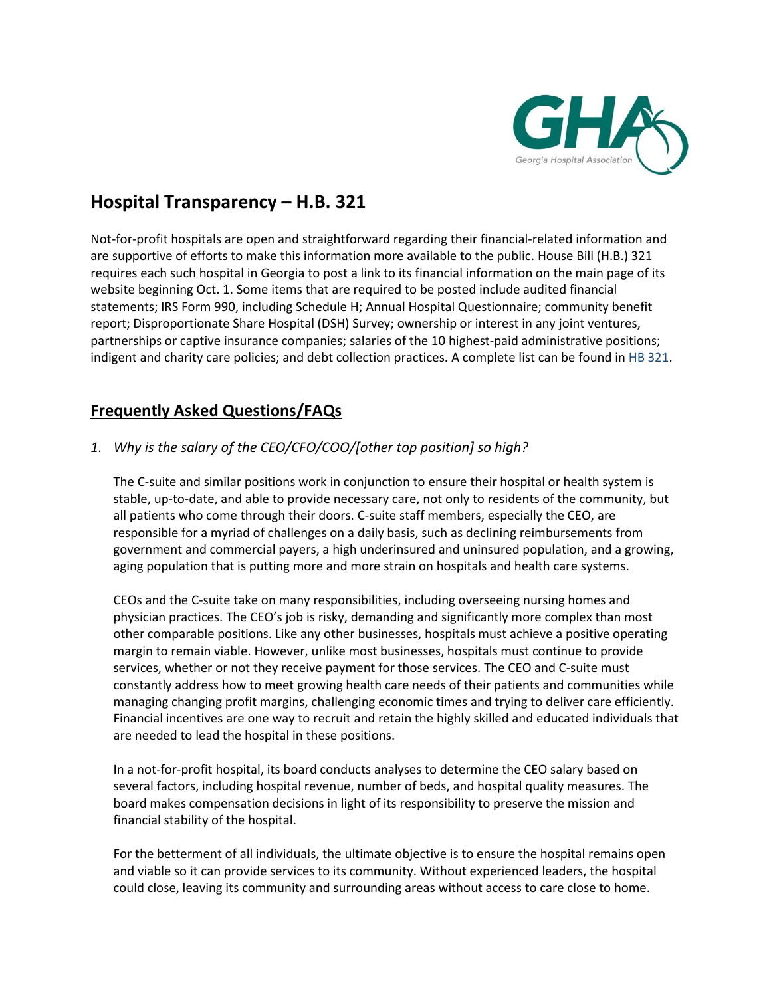

# **Hospital Transparency – H.B. 321**

Not-for-profit hospitals are open and straightforward regarding their financial-related information and are supportive of efforts to make this information more available to the public. House Bill (H.B.) 321 requires each such hospital in Georgia to post a link to its financial information on the main page of its website beginning Oct. 1. Some items that are required to be posted include audited financial statements; IRS Form 990, including Schedule H; Annual Hospital Questionnaire; community benefit report; Disproportionate Share Hospital (DSH) Survey; ownership or interest in any joint ventures, partnerships or captive insurance companies; salaries of the 10 highest-paid administrative positions; indigent and charity care policies; and debt collection practices. A complete list can be found in [HB 321.](http://www.legis.ga.gov/Legislation/en-US/display/20192020/HB/321)

## **Frequently Asked Questions/FAQs**

### *1. Why is the salary of the CEO/CFO/COO/[other top position] so high?*

The C-suite and similar positions work in conjunction to ensure their hospital or health system is stable, up-to-date, and able to provide necessary care, not only to residents of the community, but all patients who come through their doors. C-suite staff members, especially the CEO, are responsible for a myriad of challenges on a daily basis, such as declining reimbursements from government and commercial payers, a high underinsured and uninsured population, and a growing, aging population that is putting more and more strain on hospitals and health care systems.

CEOs and the C-suite take on many responsibilities, including overseeing nursing homes and physician practices. The CEO's job is risky, demanding and significantly more complex than most other comparable positions. Like any other businesses, hospitals must achieve a positive operating margin to remain viable. However, unlike most businesses, hospitals must continue to provide services, whether or not they receive payment for those services. The CEO and C-suite must constantly address how to meet growing health care needs of their patients and communities while managing changing profit margins, challenging economic times and trying to deliver care efficiently. Financial incentives are one way to recruit and retain the highly skilled and educated individuals that are needed to lead the hospital in these positions.

In a not-for-profit hospital, its board conducts analyses to determine the CEO salary based on several factors, including hospital revenue, number of beds, and hospital quality measures. The board makes compensation decisions in light of its responsibility to preserve the mission and financial stability of the hospital.

For the betterment of all individuals, the ultimate objective is to ensure the hospital remains open and viable so it can provide services to its community. Without experienced leaders, the hospital could close, leaving its community and surrounding areas without access to care close to home.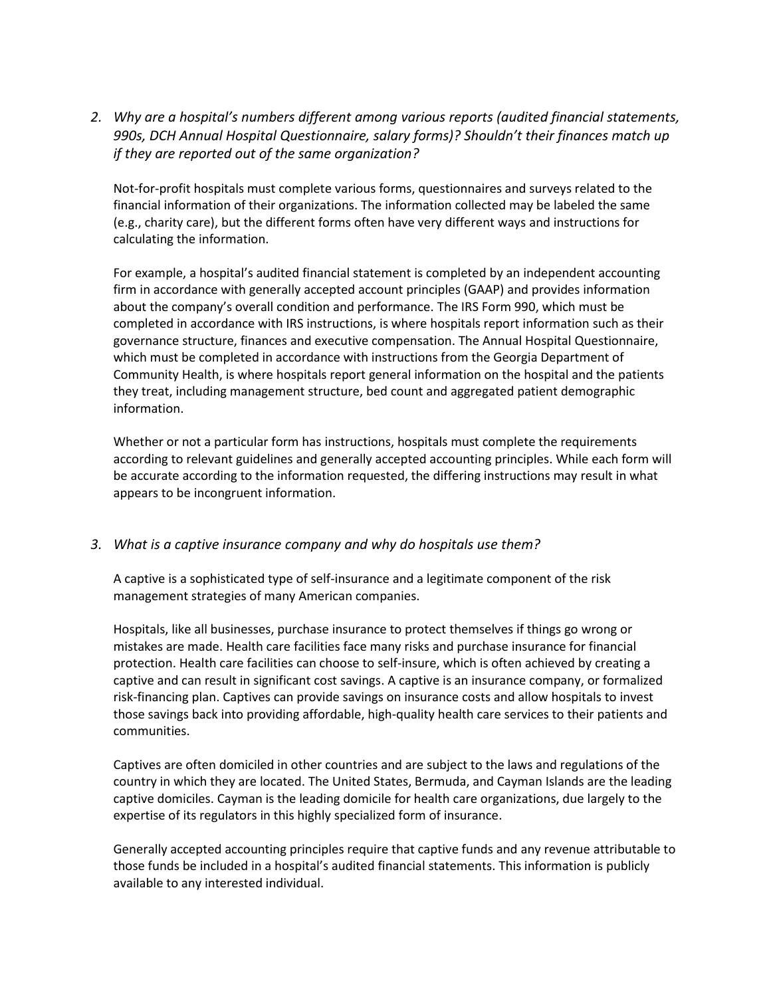*2. Why are a hospital's numbers different among various reports (audited financial statements, 990s, DCH Annual Hospital Questionnaire, salary forms)? Shouldn't their finances match up if they are reported out of the same organization?*

Not-for-profit hospitals must complete various forms, questionnaires and surveys related to the financial information of their organizations. The information collected may be labeled the same (e.g., charity care), but the different forms often have very different ways and instructions for calculating the information.

For example, a hospital's audited financial statement is completed by an independent accounting firm in accordance with generally accepted account principles (GAAP) and provides information about the company's overall condition and performance. The IRS Form 990, which must be completed in accordance with IRS instructions, is where hospitals report information such as their governance structure, finances and executive compensation. The Annual Hospital Questionnaire, which must be completed in accordance with instructions from the Georgia Department of Community Health, is where hospitals report general information on the hospital and the patients they treat, including management structure, bed count and aggregated patient demographic information.

Whether or not a particular form has instructions, hospitals must complete the requirements according to relevant guidelines and generally accepted accounting principles. While each form will be accurate according to the information requested, the differing instructions may result in what appears to be incongruent information.

#### *3. What is a captive insurance company and why do hospitals use them?*

A captive is a sophisticated type of self-insurance and a legitimate component of the risk management strategies of many American companies.

Hospitals, like all businesses, purchase insurance to protect themselves if things go wrong or mistakes are made. Health care facilities face many risks and purchase insurance for financial protection. Health care facilities can choose to self-insure, which is often achieved by creating a captive and can result in significant cost savings. A captive is an insurance company, or formalized risk-financing plan. Captives can provide savings on insurance costs and allow hospitals to invest those savings back into providing affordable, high-quality health care services to their patients and communities.

Captives are often domiciled in other countries and are subject to the laws and regulations of the country in which they are located. The United States, Bermuda, and Cayman Islands are the leading captive domiciles. Cayman is the leading domicile for health care organizations, due largely to the expertise of its regulators in this highly specialized form of insurance.

Generally accepted accounting principles require that captive funds and any revenue attributable to those funds be included in a hospital's audited financial statements. This information is publicly available to any interested individual.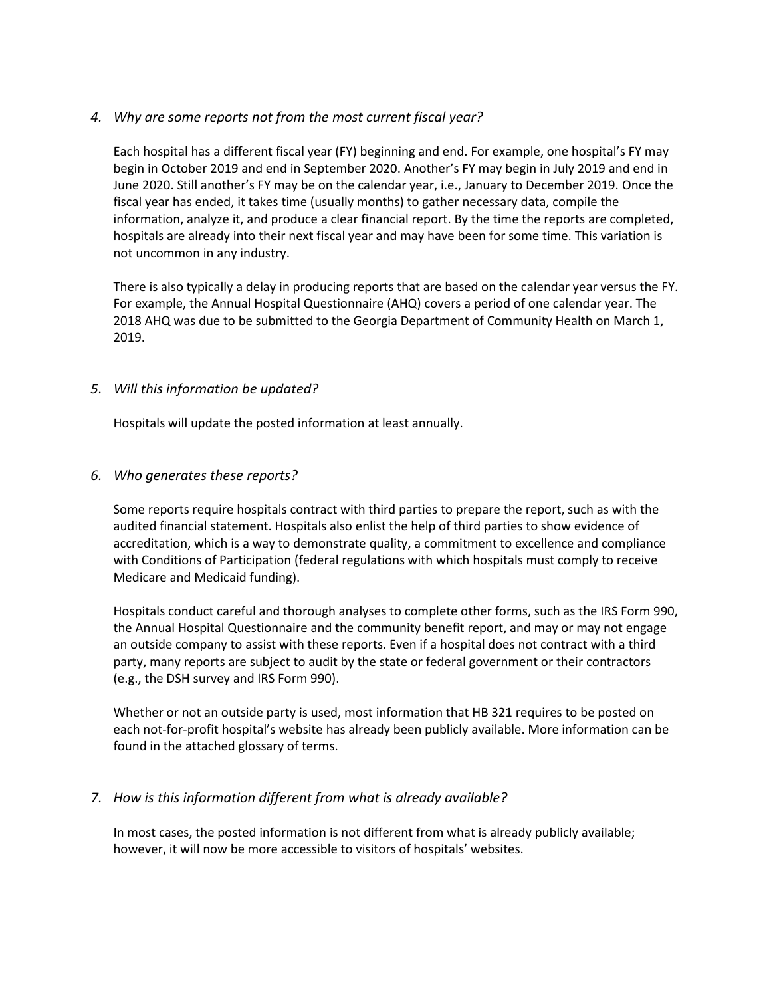### *4. Why are some reports not from the most current fiscal year?*

Each hospital has a different fiscal year (FY) beginning and end. For example, one hospital's FY may begin in October 2019 and end in September 2020. Another's FY may begin in July 2019 and end in June 2020. Still another's FY may be on the calendar year, i.e., January to December 2019. Once the fiscal year has ended, it takes time (usually months) to gather necessary data, compile the information, analyze it, and produce a clear financial report. By the time the reports are completed, hospitals are already into their next fiscal year and may have been for some time. This variation is not uncommon in any industry.

There is also typically a delay in producing reports that are based on the calendar year versus the FY. For example, the Annual Hospital Questionnaire (AHQ) covers a period of one calendar year. The 2018 AHQ was due to be submitted to the Georgia Department of Community Health on March 1, 2019.

### *5. Will this information be updated?*

Hospitals will update the posted information at least annually.

#### *6. Who generates these reports?*

Some reports require hospitals contract with third parties to prepare the report, such as with the audited financial statement. Hospitals also enlist the help of third parties to show evidence of accreditation, which is a way to demonstrate quality, a commitment to excellence and compliance with Conditions of Participation (federal regulations with which hospitals must comply to receive Medicare and Medicaid funding).

Hospitals conduct careful and thorough analyses to complete other forms, such as the IRS Form 990, the Annual Hospital Questionnaire and the community benefit report, and may or may not engage an outside company to assist with these reports. Even if a hospital does not contract with a third party, many reports are subject to audit by the state or federal government or their contractors (e.g., the DSH survey and IRS Form 990).

Whether or not an outside party is used, most information that HB 321 requires to be posted on each not-for-profit hospital's website has already been publicly available. More information can be found in the attached glossary of terms.

### *7. How is this information different from what is already available?*

In most cases, the posted information is not different from what is already publicly available; however, it will now be more accessible to visitors of hospitals' websites.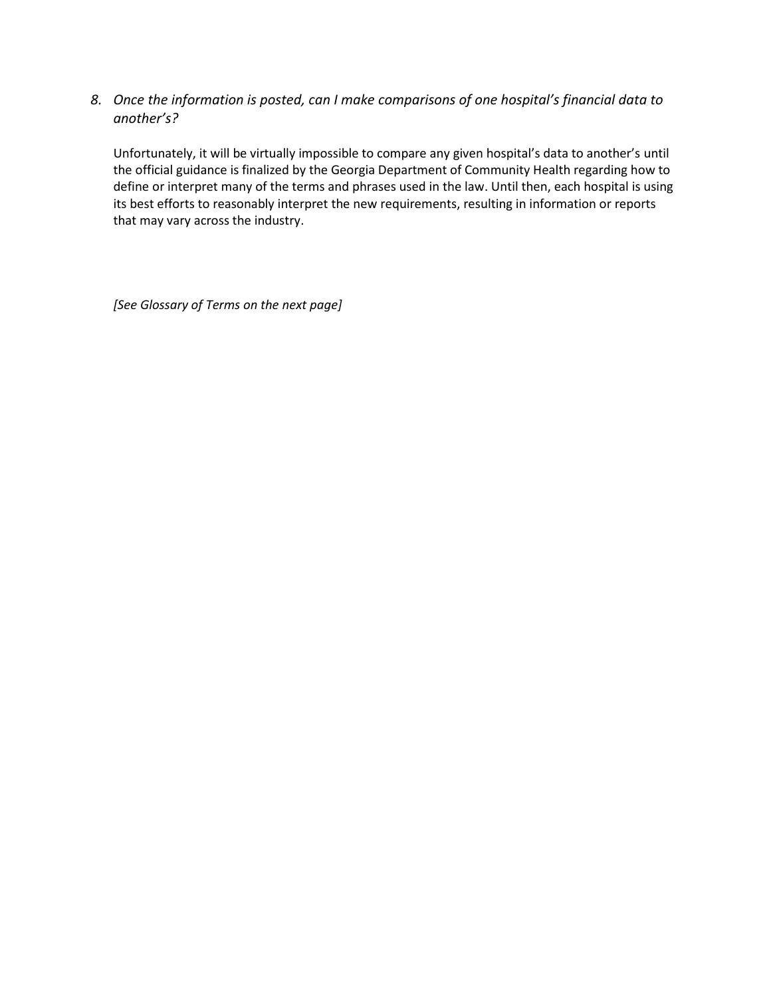*8. Once the information is posted, can I make comparisons of one hospital's financial data to another's?* 

Unfortunately, it will be virtually impossible to compare any given hospital's data to another's until the official guidance is finalized by the Georgia Department of Community Health regarding how to define or interpret many of the terms and phrases used in the law. Until then, each hospital is using its best efforts to reasonably interpret the new requirements, resulting in information or reports that may vary across the industry.

*[See Glossary of Terms on the next page]*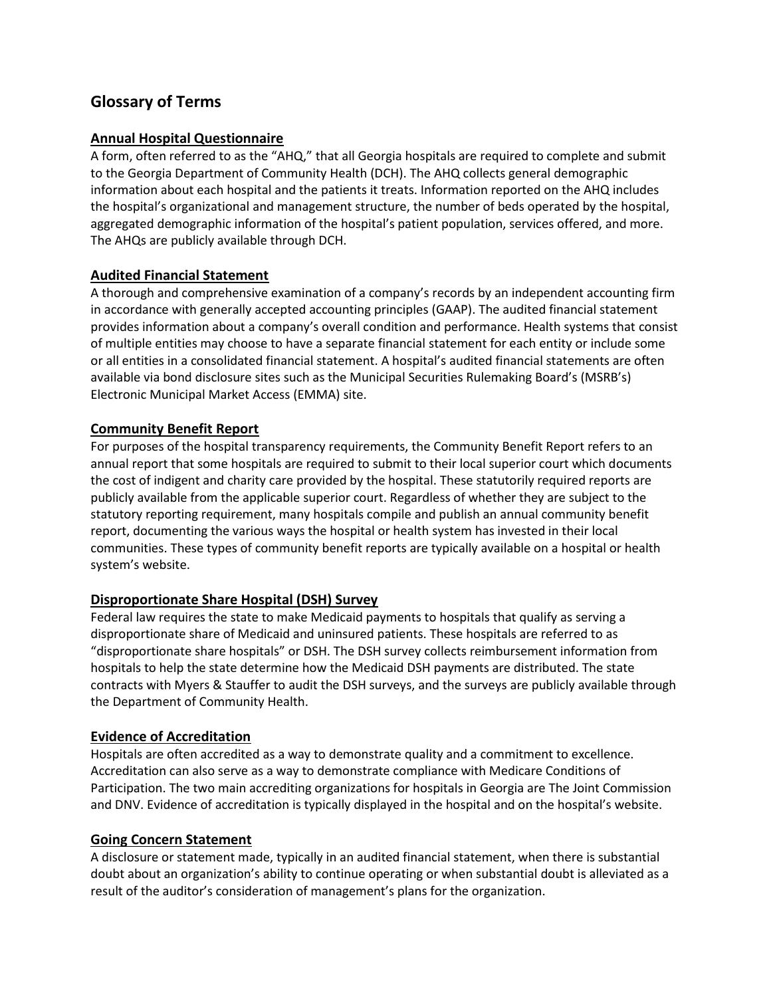### **Glossary of Terms**

### **Annual Hospital Questionnaire**

A form, often referred to as the "AHQ," that all Georgia hospitals are required to complete and submit to the Georgia Department of Community Health (DCH). The AHQ collects general demographic information about each hospital and the patients it treats. Information reported on the AHQ includes the hospital's organizational and management structure, the number of beds operated by the hospital, aggregated demographic information of the hospital's patient population, services offered, and more. The AHQs are publicly available through DCH.

### **Audited Financial Statement**

A thorough and comprehensive examination of a company's records by an independent accounting firm in accordance with generally accepted accounting principles (GAAP). The audited financial statement provides information about a company's overall condition and performance. Health systems that consist of multiple entities may choose to have a separate financial statement for each entity or include some or all entities in a consolidated financial statement. A hospital's audited financial statements are often available via bond disclosure sites such as the Municipal Securities Rulemaking Board's (MSRB's) Electronic Municipal Market Access (EMMA) site.

### **Community Benefit Report**

For purposes of the hospital transparency requirements, the Community Benefit Report refers to an annual report that some hospitals are required to submit to their local superior court which documents the cost of indigent and charity care provided by the hospital. These statutorily required reports are publicly available from the applicable superior court. Regardless of whether they are subject to the statutory reporting requirement, many hospitals compile and publish an annual community benefit report, documenting the various ways the hospital or health system has invested in their local communities. These types of community benefit reports are typically available on a hospital or health system's website.

### **Disproportionate Share Hospital (DSH) Survey**

Federal law requires the state to make Medicaid payments to hospitals that qualify as serving a disproportionate share of Medicaid and uninsured patients. These hospitals are referred to as "disproportionate share hospitals" or DSH. The DSH survey collects reimbursement information from hospitals to help the state determine how the Medicaid DSH payments are distributed. The state contracts with Myers & Stauffer to audit the DSH surveys, and the surveys are publicly available through the Department of Community Health.

### **Evidence of Accreditation**

Hospitals are often accredited as a way to demonstrate quality and a commitment to excellence. Accreditation can also serve as a way to demonstrate compliance with Medicare Conditions of Participation. The two main accrediting organizations for hospitals in Georgia are The Joint Commission and DNV. Evidence of accreditation is typically displayed in the hospital and on the hospital's website.

### **Going Concern Statement**

A disclosure or statement made, typically in an audited financial statement, when there is substantial doubt about an organization's ability to continue operating or when substantial doubt is alleviated as a result of the auditor's consideration of management's plans for the organization.